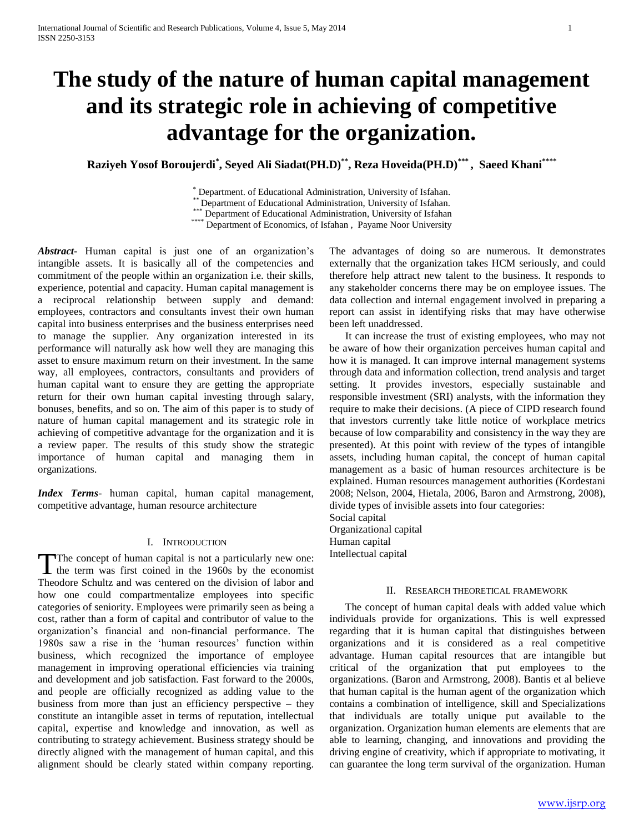# **The study of the nature of human capital management and its strategic role in achieving of competitive advantage for the organization.**

**Raziyeh Yosof Boroujerdi\* , Seyed Ali Siadat(PH.D)\*\*, Reza Hoveida(PH.D)\*\*\* , Saeed Khani\*\*\*\***

\* Department. of Educational Administration, University of Isfahan.

\*\* Department of Educational Administration, University of Isfahan.

\*\*\* Department of Educational Administration, University of Isfahan

\*\*\*\*\* Department of Economics, of Isfahan, Payame Noor University

*Abstract***-** Human capital is just one of an organization's intangible assets. It is basically all of the competencies and commitment of the people within an organization i.e. their skills, experience, potential and capacity. Human capital management is a reciprocal relationship between supply and demand: employees, contractors and consultants invest their own human capital into business enterprises and the business enterprises need to manage the supplier. Any organization interested in its performance will naturally ask how well they are managing this asset to ensure maximum return on their investment. In the same way, all employees, contractors, consultants and providers of human capital want to ensure they are getting the appropriate return for their own human capital investing through salary, bonuses, benefits, and so on. The aim of this paper is to study of nature of human capital management and its strategic role in achieving of competitive advantage for the organization and it is a review paper. The results of this study show the strategic importance of human capital and managing them in organizations.

*Index Terms*- human capital, human capital management, competitive advantage, human resource architecture

#### I. INTRODUCTION

The concept of human capital is not a particularly new one: The concept of human capital is not a particularly new one:<br>the term was first coined in the 1960s by the economist Theodore Schultz and was centered on the division of labor and how one could compartmentalize employees into specific categories of seniority. Employees were primarily seen as being a cost, rather than a form of capital and contributor of value to the organization's financial and non-financial performance. The 1980s saw a rise in the 'human resources' function within business, which recognized the importance of employee management in improving operational efficiencies via training and development and job satisfaction. Fast forward to the 2000s, and people are officially recognized as adding value to the business from more than just an efficiency perspective – they constitute an intangible asset in terms of reputation, intellectual capital, expertise and knowledge and innovation, as well as contributing to strategy achievement. Business strategy should be directly aligned with the management of human capital, and this alignment should be clearly stated within company reporting.

The advantages of doing so are numerous. It demonstrates externally that the organization takes HCM seriously, and could therefore help attract new talent to the business. It responds to any stakeholder concerns there may be on employee issues. The data collection and internal engagement involved in preparing a report can assist in identifying risks that may have otherwise been left unaddressed.

 It can increase the trust of existing employees, who may not be aware of how their organization perceives human capital and how it is managed. It can improve internal management systems through data and information collection, trend analysis and target setting. It provides investors, especially sustainable and responsible investment (SRI) analysts, with the information they require to make their decisions. (A piece of CIPD research found that investors currently take little notice of workplace metrics because of low comparability and consistency in the way they are presented). At this point with review of the types of intangible assets, including human capital, the concept of human capital management as a basic of human resources architecture is be explained. Human resources management authorities (Kordestani 2008; Nelson, 2004, Hietala, 2006, Baron and Armstrong, 2008), divide types of invisible assets into four categories: Social capital

Organizational capital Human capital Intellectual capital

### II. RESEARCH THEORETICAL FRAMEWORK

 The concept of human capital deals with added value which individuals provide for organizations. This is well expressed regarding that it is human capital that distinguishes between organizations and it is considered as a real competitive advantage. Human capital resources that are intangible but critical of the organization that put employees to the organizations. (Baron and Armstrong, 2008). Bantis et al believe that human capital is the human agent of the organization which contains a combination of intelligence, skill and Specializations that individuals are totally unique put available to the organization. Organization human elements are elements that are able to learning, changing, and innovations and providing the driving engine of creativity, which if appropriate to motivating, it can guarantee the long term survival of the organization. Human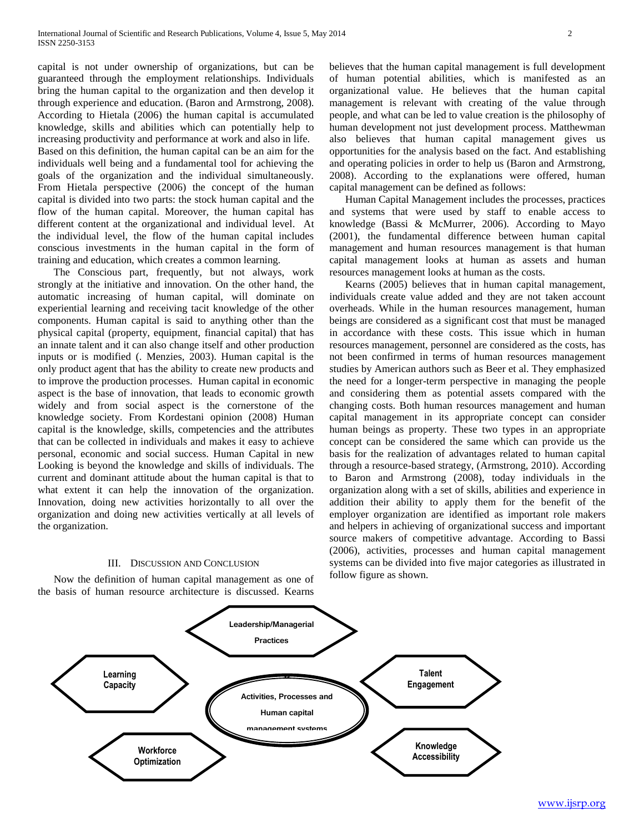capital is not under ownership of organizations, but can be guaranteed through the employment relationships. Individuals bring the human capital to the organization and then develop it through experience and education. (Baron and Armstrong, 2008). According to Hietala (2006) the human capital is accumulated knowledge, skills and abilities which can potentially help to increasing productivity and performance at work and also in life. Based on this definition, the human capital can be an aim for the individuals well being and a fundamental tool for achieving the goals of the organization and the individual simultaneously. From Hietala perspective (2006) the concept of the human capital is divided into two parts: the stock human capital and the flow of the human capital. Moreover, the human capital has different content at the organizational and individual level. At the individual level, the flow of the human capital includes conscious investments in the human capital in the form of training and education, which creates a common learning.

 The Conscious part, frequently, but not always, work strongly at the initiative and innovation. On the other hand, the automatic increasing of human capital, will dominate on experiential learning and receiving tacit knowledge of the other components. Human capital is said to anything other than the physical capital (property, equipment, financial capital) that has an innate talent and it can also change itself and other production inputs or is modified (. Menzies, 2003). Human capital is the only product agent that has the ability to create new products and to improve the production processes. Human capital in economic aspect is the base of innovation, that leads to economic growth widely and from social aspect is the cornerstone of the knowledge society. From Kordestani opinion (2008) Human capital is the knowledge, skills, competencies and the attributes that can be collected in individuals and makes it easy to achieve personal, economic and social success. Human Capital in new Looking is beyond the knowledge and skills of individuals. The current and dominant attitude about the human capital is that to what extent it can help the innovation of the organization. Innovation, doing new activities horizontally to all over the organization and doing new activities vertically at all levels of the organization.

#### III. DISCUSSION AND CONCLUSION

 Now the definition of human capital management as one of the basis of human resource architecture is discussed. Kearns believes that the human capital management is full development of human potential abilities, which is manifested as an organizational value. He believes that the human capital management is relevant with creating of the value through people, and what can be led to value creation is the philosophy of human development not just development process. Matthewman also believes that human capital management gives us opportunities for the analysis based on the fact. And establishing and operating policies in order to help us (Baron and Armstrong, 2008). According to the explanations were offered, human capital management can be defined as follows:

 Human Capital Management includes the processes, practices and systems that were used by staff to enable access to knowledge (Bassi & McMurrer, 2006). According to Mayo (2001), the fundamental difference between human capital management and human resources management is that human capital management looks at human as assets and human resources management looks at human as the costs.

 Kearns (2005) believes that in human capital management, individuals create value added and they are not taken account overheads. While in the human resources management, human beings are considered as a significant cost that must be managed in accordance with these costs. This issue which in human resources management, personnel are considered as the costs, has not been confirmed in terms of human resources management studies by American authors such as Beer et al. They emphasized the need for a longer-term perspective in managing the people and considering them as potential assets compared with the changing costs. Both human resources management and human capital management in its appropriate concept can consider human beings as property. These two types in an appropriate concept can be considered the same which can provide us the basis for the realization of advantages related to human capital through a resource-based strategy, (Armstrong, 2010). According to Baron and Armstrong (2008), today individuals in the organization along with a set of skills, abilities and experience in addition their ability to apply them for the benefit of the employer organization are identified as important role makers and helpers in achieving of organizational success and important source makers of competitive advantage. According to Bassi (2006), activities, processes and human capital management systems can be divided into five major categories as illustrated in follow figure as shown.

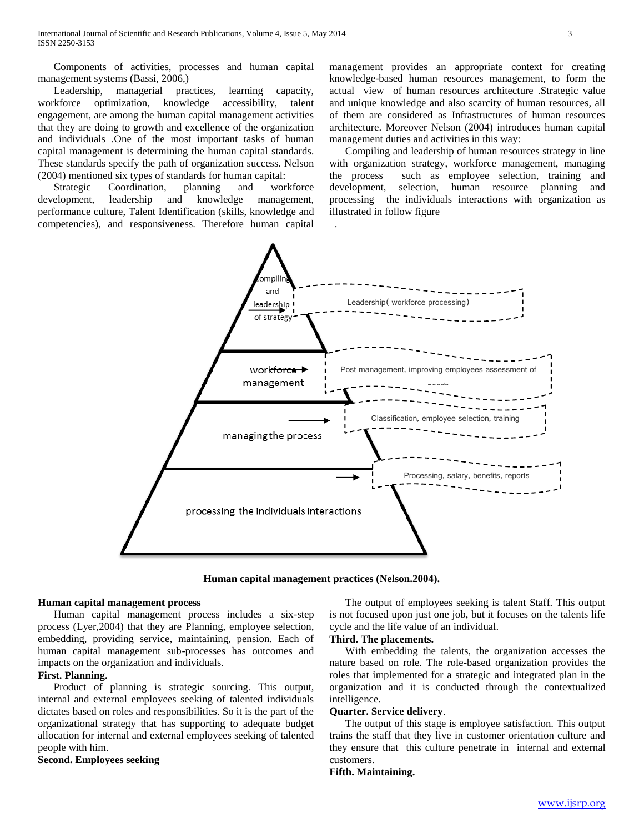Components of activities, processes and human capital management systems (Bassi, 2006,)

 Leadership, managerial practices, learning capacity, workforce optimization, knowledge accessibility, talent engagement, are among the human capital management activities that they are doing to growth and excellence of the organization and individuals .One of the most important tasks of human capital management is determining the human capital standards. These standards specify the path of organization success. Nelson (2004) mentioned six types of standards for human capital:

 Strategic Coordination, planning and workforce development, leadership and knowledge management, performance culture, Talent Identification (skills, knowledge and competencies), and responsiveness. Therefore human capital

management provides an appropriate context for creating knowledge-based human resources management, to form the actual view of human resources architecture .Strategic value and unique knowledge and also scarcity of human resources, all of them are considered as Infrastructures of human resources architecture. Moreover Nelson (2004) introduces human capital management duties and activities in this way:

 Compiling and leadership of human resources strategy in line with organization strategy, workforce management, managing the process such as employee selection, training and development, selection, human resource planning and processing the individuals interactions with organization as illustrated in follow figure



**Human capital management practices (Nelson.2004).**

## **Human capital management process**

 Human capital management process includes a six-step process (Lyer,2004) that they are Planning, employee selection, embedding, providing service, maintaining, pension. Each of human capital management sub-processes has outcomes and impacts on the organization and individuals.

# **First. Planning.**

 Product of planning is strategic sourcing. This output, internal and external employees seeking of talented individuals dictates based on roles and responsibilities. So it is the part of the organizational strategy that has supporting to adequate budget allocation for internal and external employees seeking of talented people with him.

**Second. Employees seeking** 

 The output of employees seeking is talent Staff. This output is not focused upon just one job, but it focuses on the talents life cycle and the life value of an individual.

## **Third. The placements.**

 With embedding the talents, the organization accesses the nature based on role. The role-based organization provides the roles that implemented for a strategic and integrated plan in the organization and it is conducted through the contextualized intelligence.

## **Quarter. Service delivery**.

 The output of this stage is employee satisfaction. This output trains the staff that they live in customer orientation culture and they ensure that this culture penetrate in internal and external customers.

# **Fifth. Maintaining.**